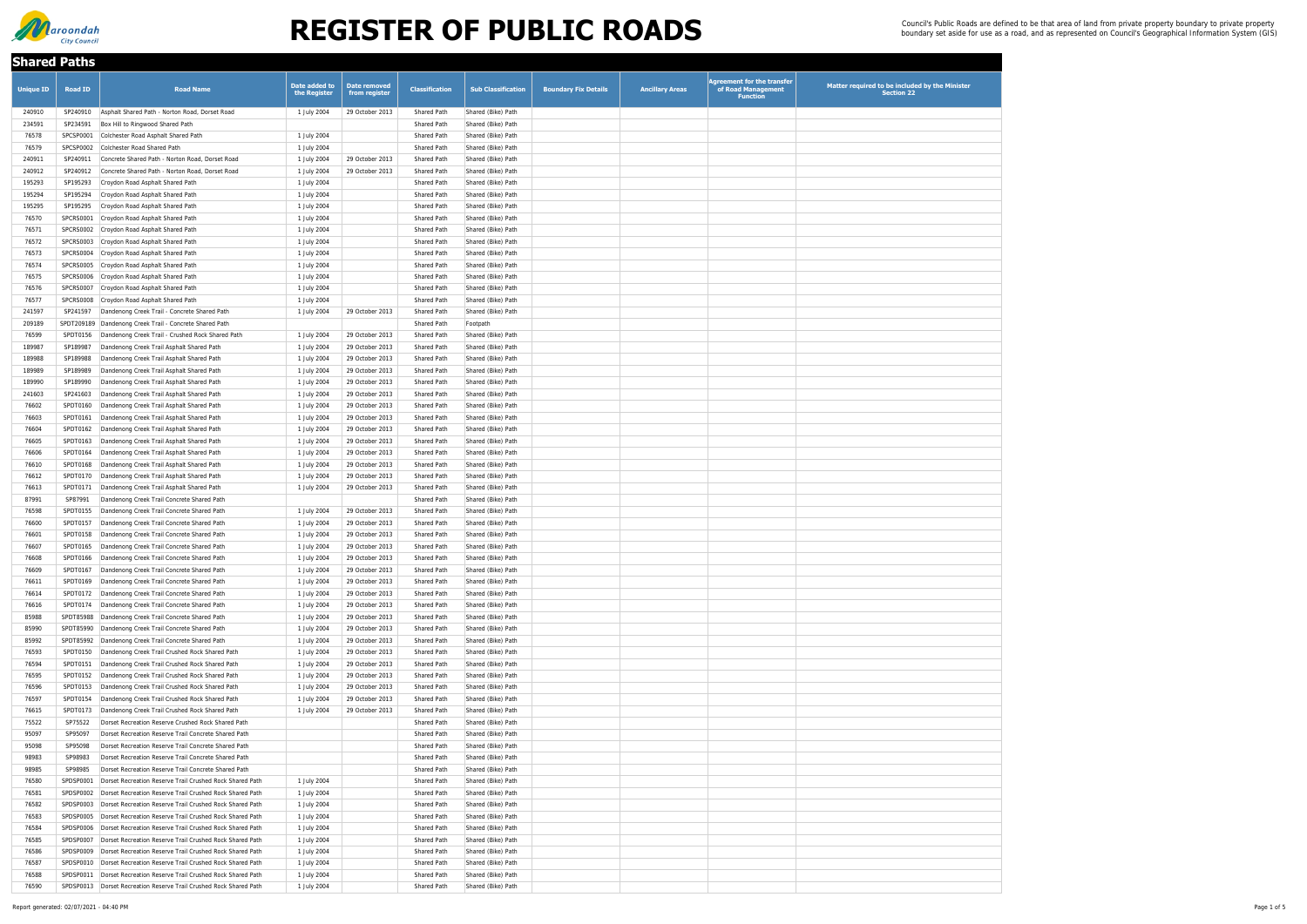| <b>Shared Paths</b> |                       |                                                                                                              |                               |                                      |                                          |                                          |                             |                        |                                                                            |                                                                     |
|---------------------|-----------------------|--------------------------------------------------------------------------------------------------------------|-------------------------------|--------------------------------------|------------------------------------------|------------------------------------------|-----------------------------|------------------------|----------------------------------------------------------------------------|---------------------------------------------------------------------|
| <b>Unique ID</b>    | <b>Road ID</b>        | <b>Road Name</b>                                                                                             | Date added to<br>the Register | <b>Date removed</b><br>from register | <b>Classification</b>                    | <b>Sub Classification</b>                | <b>Boundary Fix Details</b> | <b>Ancillary Areas</b> | <b>Agreement for the transfer</b><br>of Road Management<br><b>Function</b> | Matter required to be included by the Minister<br><b>Section 22</b> |
| 240910              | SP240910              | Asphalt Shared Path - Norton Road, Dorset Road                                                               | 1 July 2004                   | 29 October 2013                      | <b>Shared Path</b>                       | Shared (Bike) Path                       |                             |                        |                                                                            |                                                                     |
| 234591              | SP234591              | Box Hill to Ringwood Shared Path                                                                             |                               |                                      | Shared Path                              | Shared (Bike) Path                       |                             |                        |                                                                            |                                                                     |
| 76578               | SPCSP0001             | Colchester Road Asphalt Shared Path                                                                          | 1 July 2004                   |                                      | <b>Shared Path</b>                       | Shared (Bike) Path                       |                             |                        |                                                                            |                                                                     |
| 76579               | SPCSP0002             | Colchester Road Shared Path                                                                                  | 1 July 2004                   |                                      | <b>Shared Path</b>                       | Shared (Bike) Path                       |                             |                        |                                                                            |                                                                     |
| 240911              | SP240911              | Concrete Shared Path - Norton Road, Dorset Road                                                              | 1 July 2004                   | 29 October 2013                      | <b>Shared Path</b>                       | Shared (Bike) Path                       |                             |                        |                                                                            |                                                                     |
| 240912              | SP240912              | Concrete Shared Path - Norton Road, Dorset Road                                                              | 1 July 2004                   | 29 October 2013                      | <b>Shared Path</b>                       | Shared (Bike) Path                       |                             |                        |                                                                            |                                                                     |
| 195293              | SP195293              | Croydon Road Asphalt Shared Path                                                                             | 1 July 2004                   |                                      | <b>Shared Path</b>                       | Shared (Bike) Path                       |                             |                        |                                                                            |                                                                     |
| 195294              | SP195294              | Croydon Road Asphalt Shared Path                                                                             | 1 July 2004                   |                                      | <b>Shared Path</b>                       | Shared (Bike) Path                       |                             |                        |                                                                            |                                                                     |
| 195295<br>76570     | SP195295<br>SPCRS0001 | Croydon Road Asphalt Shared Path<br>Croydon Road Asphalt Shared Path                                         | 1 July 2004<br>1 July 2004    |                                      | <b>Shared Path</b><br><b>Shared Path</b> | Shared (Bike) Path<br>Shared (Bike) Path |                             |                        |                                                                            |                                                                     |
| 76571               |                       | SPCRS0002 Croydon Road Asphalt Shared Path                                                                   | 1 July 2004                   |                                      | <b>Shared Path</b>                       | Shared (Bike) Path                       |                             |                        |                                                                            |                                                                     |
| 76572               | SPCRS0003             | Croydon Road Asphalt Shared Path                                                                             | 1 July 2004                   |                                      | <b>Shared Path</b>                       | Shared (Bike) Path                       |                             |                        |                                                                            |                                                                     |
| 76573               | SPCRS0004             | Croydon Road Asphalt Shared Path                                                                             | 1 July 2004                   |                                      | <b>Shared Path</b>                       | Shared (Bike) Path                       |                             |                        |                                                                            |                                                                     |
| 76574               | SPCRS0005             | Croydon Road Asphalt Shared Path                                                                             | 1 July 2004                   |                                      | <b>Shared Path</b>                       | Shared (Bike) Path                       |                             |                        |                                                                            |                                                                     |
| 76575               |                       | SPCRS0006 Croydon Road Asphalt Shared Path                                                                   | 1 July 2004                   |                                      | <b>Shared Path</b>                       | Shared (Bike) Path                       |                             |                        |                                                                            |                                                                     |
| 76576               | SPCRS0007             | Croydon Road Asphalt Shared Path                                                                             | 1 July 2004                   |                                      | <b>Shared Path</b>                       | Shared (Bike) Path                       |                             |                        |                                                                            |                                                                     |
| 76577               | SPCRS0008             | Croydon Road Asphalt Shared Path                                                                             | 1 July 2004                   |                                      | <b>Shared Path</b>                       | Shared (Bike) Path                       |                             |                        |                                                                            |                                                                     |
| 241597              | SP241597              | Dandenong Creek Trail - Concrete Shared Path                                                                 | 1 July 2004                   | 29 October 2013                      | <b>Shared Path</b>                       | Shared (Bike) Path                       |                             |                        |                                                                            |                                                                     |
| 209189              |                       | SPDT209189 Dandenong Creek Trail - Concrete Shared Path                                                      |                               |                                      | <b>Shared Path</b>                       | Footpath                                 |                             |                        |                                                                            |                                                                     |
| 76599               | SPDT0156              | Dandenong Creek Trail - Crushed Rock Shared Path                                                             | 1 July 2004                   | 29 October 2013                      | <b>Shared Path</b>                       | Shared (Bike) Path                       |                             |                        |                                                                            |                                                                     |
| 189987              | SP189987              | Dandenong Creek Trail Asphalt Shared Path                                                                    | 1 July 2004                   | 29 October 2013                      | <b>Shared Path</b>                       | Shared (Bike) Path                       |                             |                        |                                                                            |                                                                     |
| 189988              | SP189988              | Dandenong Creek Trail Asphalt Shared Path                                                                    | 1 July 2004                   | 29 October 2013                      | <b>Shared Path</b>                       | Shared (Bike) Path                       |                             |                        |                                                                            |                                                                     |
| 189989              | SP189989              | Dandenong Creek Trail Asphalt Shared Path                                                                    | 1 July 2004                   | 29 October 2013                      | <b>Shared Path</b>                       | Shared (Bike) Path                       |                             |                        |                                                                            |                                                                     |
| 189990              | SP189990              | Dandenong Creek Trail Asphalt Shared Path                                                                    | 1 July 2004                   | 29 October 2013                      | <b>Shared Path</b>                       | Shared (Bike) Path                       |                             |                        |                                                                            |                                                                     |
| 241603<br>76602     | SP241603<br>SPDT0160  | Dandenong Creek Trail Asphalt Shared Path<br>Dandenong Creek Trail Asphalt Shared Path                       | 1 July 2004<br>1 July 2004    | 29 October 2013<br>29 October 2013   | <b>Shared Path</b><br>Shared Path        | Shared (Bike) Path<br>Shared (Bike) Path |                             |                        |                                                                            |                                                                     |
| 76603               | SPDT0161              | Dandenong Creek Trail Asphalt Shared Path                                                                    | 1 July 2004                   | 29 October 2013                      | <b>Shared Path</b>                       | Shared (Bike) Path                       |                             |                        |                                                                            |                                                                     |
| 76604               | SPDT0162              | Dandenong Creek Trail Asphalt Shared Path                                                                    | 1 July 2004                   | 29 October 2013                      | Shared Path                              | Shared (Bike) Path                       |                             |                        |                                                                            |                                                                     |
| 76605               | SPDT0163              | Dandenong Creek Trail Asphalt Shared Path                                                                    | 1 July 2004                   | 29 October 2013                      | Shared Path                              | Shared (Bike) Path                       |                             |                        |                                                                            |                                                                     |
| 76606               | SPDT0164              | Dandenong Creek Trail Asphalt Shared Path                                                                    | 1 July 2004                   | 29 October 2013                      | <b>Shared Path</b>                       | Shared (Bike) Path                       |                             |                        |                                                                            |                                                                     |
| 76610               | SPDT0168              | Dandenong Creek Trail Asphalt Shared Path                                                                    | 1 July 2004                   | 29 October 2013                      | <b>Shared Path</b>                       | Shared (Bike) Path                       |                             |                        |                                                                            |                                                                     |
| 76612               | SPDT0170              | Dandenong Creek Trail Asphalt Shared Path                                                                    | 1 July 2004                   | 29 October 2013                      | <b>Shared Path</b>                       | Shared (Bike) Path                       |                             |                        |                                                                            |                                                                     |
| 76613               | SPDT0171              | Dandenong Creek Trail Asphalt Shared Path                                                                    | 1 July 2004                   | 29 October 2013                      | <b>Shared Path</b>                       | Shared (Bike) Path                       |                             |                        |                                                                            |                                                                     |
| 87991               | SP87991               | Dandenong Creek Trail Concrete Shared Path                                                                   |                               |                                      | <b>Shared Path</b>                       | Shared (Bike) Path                       |                             |                        |                                                                            |                                                                     |
| 76598               | SPDT0155              | Dandenong Creek Trail Concrete Shared Path                                                                   | 1 July 2004                   | 29 October 2013                      | <b>Shared Path</b>                       | Shared (Bike) Path                       |                             |                        |                                                                            |                                                                     |
| 76600               | SPDT0157              | Dandenong Creek Trail Concrete Shared Path                                                                   | 1 July 2004                   | 29 October 2013                      | <b>Shared Path</b>                       | Shared (Bike) Path                       |                             |                        |                                                                            |                                                                     |
| 76601               | SPDT0158              | Dandenong Creek Trail Concrete Shared Path                                                                   | 1 July 2004                   | 29 October 2013                      | <b>Shared Path</b>                       | Shared (Bike) Path                       |                             |                        |                                                                            |                                                                     |
| 76607               | SPDT0165              | Dandenong Creek Trail Concrete Shared Path                                                                   | 1 July 2004                   | 29 October 2013                      | <b>Shared Path</b>                       | Shared (Bike) Path                       |                             |                        |                                                                            |                                                                     |
| 76608<br>76609      | SPDT0166<br>SPDT0167  | Dandenong Creek Trail Concrete Shared Path<br>Dandenong Creek Trail Concrete Shared Path                     | 1 July 2004<br>1 July 2004    | 29 October 2013<br>29 October 2013   | <b>Shared Path</b><br><b>Shared Path</b> | Shared (Bike) Path<br>Shared (Bike) Path |                             |                        |                                                                            |                                                                     |
| 76611               | SPDT0169              | Dandenong Creek Trail Concrete Shared Path                                                                   | 1 July 2004                   | 29 October 2013                      | <b>Shared Path</b>                       | Shared (Bike) Path                       |                             |                        |                                                                            |                                                                     |
| 76614               | SPDT0172              | Dandenong Creek Trail Concrete Shared Path                                                                   | 1 July 2004                   | 29 October 2013                      | <b>Shared Path</b>                       | Shared (Bike) Path                       |                             |                        |                                                                            |                                                                     |
| 76616               | SPDT0174              | Dandenong Creek Trail Concrete Shared Path                                                                   | 1 July 2004                   | 29 October 2013                      | <b>Shared Path</b>                       | Shared (Bike) Path                       |                             |                        |                                                                            |                                                                     |
| 85988               | SPDT85988             | Dandenong Creek Trail Concrete Shared Path                                                                   | 1 July 2004                   | 29 October 2013                      | <b>Shared Path</b>                       | Shared (Bike) Path                       |                             |                        |                                                                            |                                                                     |
| 85990               | SPDT85990             | Dandenong Creek Trail Concrete Shared Path                                                                   | 1 July 2004                   | 29 October 2013                      | <b>Shared Path</b>                       | Shared (Bike) Path                       |                             |                        |                                                                            |                                                                     |
| 85992               | SPDT85992             | Dandenong Creek Trail Concrete Shared Path                                                                   | 1 July 2004                   | 29 October 2013                      | <b>Shared Path</b>                       | Shared (Bike) Path                       |                             |                        |                                                                            |                                                                     |
| 76593               | SPDT0150              | Dandenong Creek Trail Crushed Rock Shared Path                                                               | 1 July 2004                   | 29 October 2013                      | <b>Shared Path</b>                       | Shared (Bike) Path                       |                             |                        |                                                                            |                                                                     |
| 76594               | SPDT0151              | Dandenong Creek Trail Crushed Rock Shared Path                                                               | 1 July 2004                   | 29 October 2013                      | <b>Shared Path</b>                       | Shared (Bike) Path                       |                             |                        |                                                                            |                                                                     |
| 76595               | SPDT0152              | Dandenong Creek Trail Crushed Rock Shared Path                                                               | 1 July 2004                   | 29 October 2013                      | <b>Shared Path</b>                       | Shared (Bike) Path                       |                             |                        |                                                                            |                                                                     |
| 76596               | SPDT0153              | Dandenong Creek Trail Crushed Rock Shared Path                                                               | 1 July 2004                   | 29 October 2013                      | Shared Path                              | Shared (Bike) Path                       |                             |                        |                                                                            |                                                                     |
| 76597               | SPDT0154              | Dandenong Creek Trail Crushed Rock Shared Path                                                               | 1 July 2004                   | 29 October 2013                      | Shared Path                              | Shared (Bike) Path                       |                             |                        |                                                                            |                                                                     |
| 76615               | SPDT0173              | Dandenong Creek Trail Crushed Rock Shared Path                                                               | 1 July 2004                   | 29 October 2013                      | Shared Path                              | Shared (Bike) Path                       |                             |                        |                                                                            |                                                                     |
| 75522               | SP75522               | Dorset Recreation Reserve Crushed Rock Shared Path                                                           |                               |                                      | <b>Shared Path</b>                       | Shared (Bike) Path                       |                             |                        |                                                                            |                                                                     |
| 95097               | SP95097               | Dorset Recreation Reserve Trail Concrete Shared Path                                                         |                               |                                      | <b>Shared Path</b>                       | Shared (Bike) Path                       |                             |                        |                                                                            |                                                                     |
| 95098<br>98983      | SP95098<br>SP98983    | Dorset Recreation Reserve Trail Concrete Shared Path<br>Dorset Recreation Reserve Trail Concrete Shared Path |                               |                                      | Shared Path<br>Shared Path               | Shared (Bike) Path<br>Shared (Bike) Path |                             |                        |                                                                            |                                                                     |
| 98985               | SP98985               | Dorset Recreation Reserve Trail Concrete Shared Path                                                         |                               |                                      | Shared Path                              | Shared (Bike) Path                       |                             |                        |                                                                            |                                                                     |
| 76580               | SPDSP0001             | Dorset Recreation Reserve Trail Crushed Rock Shared Path                                                     | 1 July 2004                   |                                      | Shared Path                              | Shared (Bike) Path                       |                             |                        |                                                                            |                                                                     |
| 76581               |                       | SPDSP0002 Dorset Recreation Reserve Trail Crushed Rock Shared Path                                           | 1 July 2004                   |                                      | <b>Shared Path</b>                       | Shared (Bike) Path                       |                             |                        |                                                                            |                                                                     |
| 76582               |                       | SPDSP0003 Dorset Recreation Reserve Trail Crushed Rock Shared Path                                           | 1 July 2004                   |                                      | Shared Path                              | Shared (Bike) Path                       |                             |                        |                                                                            |                                                                     |
| 76583               |                       | SPDSP0005 Dorset Recreation Reserve Trail Crushed Rock Shared Path                                           | 1 July 2004                   |                                      | Shared Path                              | Shared (Bike) Path                       |                             |                        |                                                                            |                                                                     |
| 76584               |                       | SPDSP0006   Dorset Recreation Reserve Trail Crushed Rock Shared Path                                         | 1 July 2004                   |                                      | <b>Shared Path</b>                       | Shared (Bike) Path                       |                             |                        |                                                                            |                                                                     |
| 76585               |                       | SPDSP0007   Dorset Recreation Reserve Trail Crushed Rock Shared Path                                         | 1 July 2004                   |                                      | Shared Path                              | Shared (Bike) Path                       |                             |                        |                                                                            |                                                                     |
| 76586               |                       | SPDSP0009   Dorset Recreation Reserve Trail Crushed Rock Shared Path                                         | 1 July 2004                   |                                      | Shared Path                              | Shared (Bike) Path                       |                             |                        |                                                                            |                                                                     |
| 76587               |                       | SPDSP0010   Dorset Recreation Reserve Trail Crushed Rock Shared Path                                         | 1 July 2004                   |                                      | Shared Path                              | Shared (Bike) Path                       |                             |                        |                                                                            |                                                                     |
| 76588               |                       | SPDSP0011   Dorset Recreation Reserve Trail Crushed Rock Shared Path                                         | 1 July 2004                   |                                      | <b>Shared Path</b>                       | Shared (Bike) Path                       |                             |                        |                                                                            |                                                                     |
| 76590               |                       | SPDSP0013   Dorset Recreation Reserve Trail Crushed Rock Shared Path                                         | 1 July 2004                   |                                      | Shared Path                              | Shared (Bike) Path                       |                             |                        |                                                                            |                                                                     |

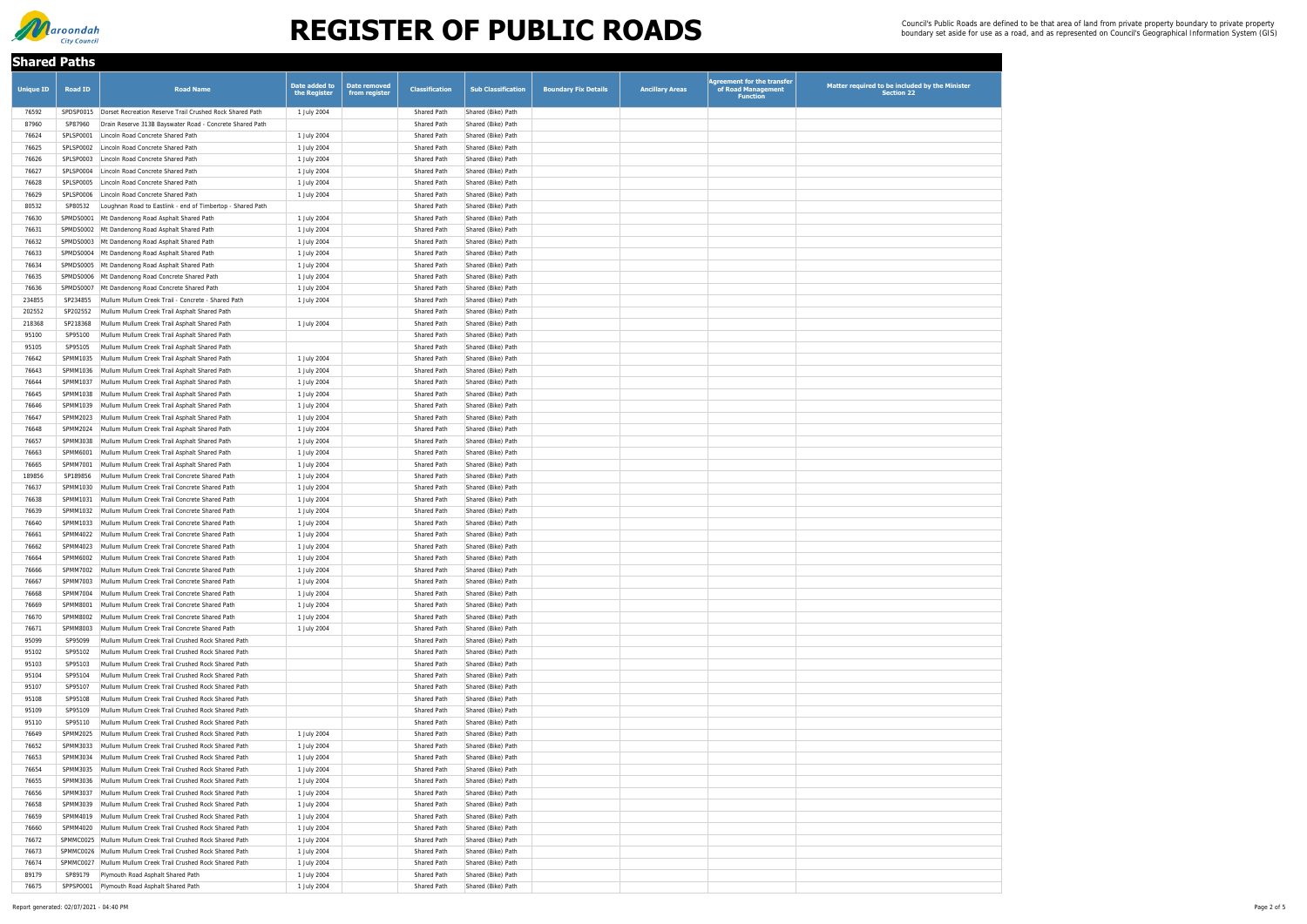| <b>Shared Paths</b> |                      |                                                                                                          |                               |                                      |                                          |                                          |                             |                        |                                                                            |                                                                     |
|---------------------|----------------------|----------------------------------------------------------------------------------------------------------|-------------------------------|--------------------------------------|------------------------------------------|------------------------------------------|-----------------------------|------------------------|----------------------------------------------------------------------------|---------------------------------------------------------------------|
| <b>Unique ID</b>    | <b>Road ID</b>       | <b>Road Name</b>                                                                                         | Date added to<br>the Register | <b>Date removed</b><br>from register | <b>Classification</b>                    | <b>Sub Classification</b>                | <b>Boundary Fix Details</b> | <b>Ancillary Areas</b> | <b>Agreement for the transfer</b><br>of Road Management<br><b>Function</b> | Matter required to be included by the Minister<br><b>Section 22</b> |
| 76592               |                      | SPDSP0015   Dorset Recreation Reserve Trail Crushed Rock Shared Path                                     | 1 July 2004                   |                                      | <b>Shared Path</b>                       | Shared (Bike) Path                       |                             |                        |                                                                            |                                                                     |
| 87960               | SP87960              | Drain Reserve 313B Bayswater Road - Concrete Shared Path                                                 |                               |                                      | Shared Path                              | Shared (Bike) Path                       |                             |                        |                                                                            |                                                                     |
| 76624               | SPLSP0001            | Lincoln Road Concrete Shared Path                                                                        | 1 July 2004                   |                                      | <b>Shared Path</b>                       | Shared (Bike) Path                       |                             |                        |                                                                            |                                                                     |
| 76625               | SPLSP0002            | Lincoln Road Concrete Shared Path                                                                        | 1 July 2004                   |                                      | Shared Path                              | Shared (Bike) Path                       |                             |                        |                                                                            |                                                                     |
| 76626               | SPLSP0003            | Lincoln Road Concrete Shared Path                                                                        | 1 July 2004                   |                                      | <b>Shared Path</b>                       | Shared (Bike) Path                       |                             |                        |                                                                            |                                                                     |
| 76627               | SPLSP0004            | Lincoln Road Concrete Shared Path                                                                        | 1 July 2004                   |                                      | <b>Shared Path</b>                       | Shared (Bike) Path                       |                             |                        |                                                                            |                                                                     |
| 76628               | SPLSP0005            | Lincoln Road Concrete Shared Path                                                                        | 1 July 2004                   |                                      | <b>Shared Path</b>                       | Shared (Bike) Path                       |                             |                        |                                                                            |                                                                     |
| 76629               | SPLSP0006            | Lincoln Road Concrete Shared Path                                                                        | 1 July 2004                   |                                      | <b>Shared Path</b>                       | Shared (Bike) Path                       |                             |                        |                                                                            |                                                                     |
| 80532               | SP80532              | Loughnan Road to Eastlink - end of Timbertop - Shared Path                                               |                               |                                      | <b>Shared Path</b>                       | Shared (Bike) Path                       |                             |                        |                                                                            |                                                                     |
| 76630               | SPMDS0001            | Mt Dandenong Road Asphalt Shared Path                                                                    | 1 July 2004                   |                                      | <b>Shared Path</b>                       | Shared (Bike) Path                       |                             |                        |                                                                            |                                                                     |
| 76631               |                      | SPMDS0002 Mt Dandenong Road Asphalt Shared Path                                                          | 1 July 2004                   |                                      | <b>Shared Path</b>                       | Shared (Bike) Path                       |                             |                        |                                                                            |                                                                     |
| 76632<br>76633      |                      | SPMDS0003 Mt Dandenong Road Asphalt Shared Path<br>SPMDS0004 Mt Dandenong Road Asphalt Shared Path       | 1 July 2004                   |                                      | <b>Shared Path</b><br><b>Shared Path</b> | Shared (Bike) Path<br>Shared (Bike) Path |                             |                        |                                                                            |                                                                     |
| 76634               |                      | SPMDS0005 Mt Dandenong Road Asphalt Shared Path                                                          | 1 July 2004<br>1 July 2004    |                                      | <b>Shared Path</b>                       | Shared (Bike) Path                       |                             |                        |                                                                            |                                                                     |
| 76635               |                      | SPMDS0006 Mt Dandenong Road Concrete Shared Path                                                         | 1 July 2004                   |                                      | <b>Shared Path</b>                       | Shared (Bike) Path                       |                             |                        |                                                                            |                                                                     |
| 76636               | SPMDS0007            | Mt Dandenong Road Concrete Shared Path                                                                   | 1 July 2004                   |                                      | <b>Shared Path</b>                       | Shared (Bike) Path                       |                             |                        |                                                                            |                                                                     |
| 234855              | SP234855             | Mullum Mullum Creek Trail - Concrete - Shared Path                                                       | 1 July 2004                   |                                      | <b>Shared Path</b>                       | Shared (Bike) Path                       |                             |                        |                                                                            |                                                                     |
| 202552              | SP202552             | Mullum Mullum Creek Trail Asphalt Shared Path                                                            |                               |                                      | <b>Shared Path</b>                       | Shared (Bike) Path                       |                             |                        |                                                                            |                                                                     |
| 218368              | SP218368             | Mullum Mullum Creek Trail Asphalt Shared Path                                                            | 1 July 2004                   |                                      | <b>Shared Path</b>                       | Shared (Bike) Path                       |                             |                        |                                                                            |                                                                     |
| 95100               | SP95100              | Mullum Mullum Creek Trail Asphalt Shared Path                                                            |                               |                                      | <b>Shared Path</b>                       | Shared (Bike) Path                       |                             |                        |                                                                            |                                                                     |
| 95105               | SP95105              | Mullum Mullum Creek Trail Asphalt Shared Path                                                            |                               |                                      | <b>Shared Path</b>                       | Shared (Bike) Path                       |                             |                        |                                                                            |                                                                     |
| 76642               | SPMM1035             | Mullum Mullum Creek Trail Asphalt Shared Path                                                            | 1 July 2004                   |                                      | <b>Shared Path</b>                       | Shared (Bike) Path                       |                             |                        |                                                                            |                                                                     |
| 76643               | SPMM1036             | Mullum Mullum Creek Trail Asphalt Shared Path                                                            | 1 July 2004                   |                                      | <b>Shared Path</b>                       | Shared (Bike) Path                       |                             |                        |                                                                            |                                                                     |
| 76644               | SPMM1037             | Mullum Mullum Creek Trail Asphalt Shared Path                                                            | 1 July 2004                   |                                      | <b>Shared Path</b>                       | Shared (Bike) Path                       |                             |                        |                                                                            |                                                                     |
| 76645               | SPMM1038             | Mullum Mullum Creek Trail Asphalt Shared Path                                                            | 1 July 2004                   |                                      | <b>Shared Path</b>                       | Shared (Bike) Path                       |                             |                        |                                                                            |                                                                     |
| 76646               |                      | SPMM1039   Mullum Mullum Creek Trail Asphalt Shared Path                                                 | 1 July 2004                   |                                      | Shared Path                              | Shared (Bike) Path                       |                             |                        |                                                                            |                                                                     |
| 76647               | SPMM2023             | Mullum Mullum Creek Trail Asphalt Shared Path                                                            | 1 July 2004                   |                                      | <b>Shared Path</b>                       | Shared (Bike) Path                       |                             |                        |                                                                            |                                                                     |
| 76648               |                      | SPMM2024 Mullum Mullum Creek Trail Asphalt Shared Path                                                   | 1 July 2004                   |                                      | <b>Shared Path</b>                       | Shared (Bike) Path                       |                             |                        |                                                                            |                                                                     |
| 76657               | SPMM3038             | Mullum Mullum Creek Trail Asphalt Shared Path                                                            | 1 July 2004                   |                                      | <b>Shared Path</b>                       | Shared (Bike) Path                       |                             |                        |                                                                            |                                                                     |
| 76663               | SPMM6001             | Mullum Mullum Creek Trail Asphalt Shared Path                                                            | 1 July 2004                   |                                      | <b>Shared Path</b>                       | Shared (Bike) Path                       |                             |                        |                                                                            |                                                                     |
| 76665               | SPMM7001             | Mullum Mullum Creek Trail Asphalt Shared Path                                                            | 1 July 2004                   |                                      | <b>Shared Path</b>                       | Shared (Bike) Path                       |                             |                        |                                                                            |                                                                     |
| 189856              | SP189856             | Mullum Mullum Creek Trail Concrete Shared Path                                                           | 1 July 2004                   |                                      | <b>Shared Path</b>                       | Shared (Bike) Path                       |                             |                        |                                                                            |                                                                     |
| 76637<br>76638      | SPMM1030<br>SPMM1031 | Mullum Mullum Creek Trail Concrete Shared Path<br>Mullum Mullum Creek Trail Concrete Shared Path         | 1 July 2004                   |                                      | <b>Shared Path</b><br><b>Shared Path</b> | Shared (Bike) Path                       |                             |                        |                                                                            |                                                                     |
| 76639               | SPMM1032             | Mullum Mullum Creek Trail Concrete Shared Path                                                           | 1 July 2004<br>1 July 2004    |                                      | <b>Shared Path</b>                       | Shared (Bike) Path<br>Shared (Bike) Path |                             |                        |                                                                            |                                                                     |
| 76640               |                      | SPMM1033 Mullum Mullum Creek Trail Concrete Shared Path                                                  | 1 July 2004                   |                                      | <b>Shared Path</b>                       | Shared (Bike) Path                       |                             |                        |                                                                            |                                                                     |
| 76661               | SPMM4022             | Mullum Mullum Creek Trail Concrete Shared Path                                                           | 1 July 2004                   |                                      | <b>Shared Path</b>                       | Shared (Bike) Path                       |                             |                        |                                                                            |                                                                     |
| 76662               | SPMM4023             | Mullum Mullum Creek Trail Concrete Shared Path                                                           | 1 July 2004                   |                                      | <b>Shared Path</b>                       | Shared (Bike) Path                       |                             |                        |                                                                            |                                                                     |
| 76664               | SPMM6002             | Mullum Mullum Creek Trail Concrete Shared Path                                                           | 1 July 2004                   |                                      | <b>Shared Path</b>                       | Shared (Bike) Path                       |                             |                        |                                                                            |                                                                     |
| 76666               | SPMM7002             | Mullum Mullum Creek Trail Concrete Shared Path                                                           | 1 July 2004                   |                                      | <b>Shared Path</b>                       | Shared (Bike) Path                       |                             |                        |                                                                            |                                                                     |
| 76667               | SPMM7003             | Mullum Mullum Creek Trail Concrete Shared Path                                                           | 1 July 2004                   |                                      | <b>Shared Path</b>                       | Shared (Bike) Path                       |                             |                        |                                                                            |                                                                     |
| 76668               | SPMM7004             | Mullum Mullum Creek Trail Concrete Shared Path                                                           | 1 July 2004                   |                                      | <b>Shared Path</b>                       | Shared (Bike) Path                       |                             |                        |                                                                            |                                                                     |
| 76669               | SPMM8001             | Mullum Mullum Creek Trail Concrete Shared Path                                                           | 1 July 2004                   |                                      | <b>Shared Path</b>                       | Shared (Bike) Path                       |                             |                        |                                                                            |                                                                     |
| 76670               | SPMM8002             | Mullum Mullum Creek Trail Concrete Shared Path                                                           | 1 July 2004                   |                                      | <b>Shared Path</b>                       | Shared (Bike) Path                       |                             |                        |                                                                            |                                                                     |
| 76671               | SPMM8003             | Mullum Mullum Creek Trail Concrete Shared Path                                                           | 1 July 2004                   |                                      | <b>Shared Path</b>                       | Shared (Bike) Path                       |                             |                        |                                                                            |                                                                     |
| 95099               | SP95099              | Mullum Mullum Creek Trail Crushed Rock Shared Path                                                       |                               |                                      | <b>Shared Path</b>                       | Shared (Bike) Path                       |                             |                        |                                                                            |                                                                     |
| 95102               | SP95102              | Mullum Mullum Creek Trail Crushed Rock Shared Path                                                       |                               |                                      | <b>Shared Path</b>                       | Shared (Bike) Path                       |                             |                        |                                                                            |                                                                     |
| 95103               | SP95103              | Mullum Mullum Creek Trail Crushed Rock Shared Path                                                       |                               |                                      | <b>Shared Path</b>                       | Shared (Bike) Path                       |                             |                        |                                                                            |                                                                     |
| 95104               | SP95104              | Mullum Mullum Creek Trail Crushed Rock Shared Path                                                       |                               |                                      | <b>Shared Path</b>                       | Shared (Bike) Path                       |                             |                        |                                                                            |                                                                     |
| 95107               | SP95107              | Mullum Mullum Creek Trail Crushed Rock Shared Path                                                       |                               |                                      | <b>Shared Path</b>                       | Shared (Bike) Path                       |                             |                        |                                                                            |                                                                     |
| 95108               | SP95108              | Mullum Mullum Creek Trail Crushed Rock Shared Path                                                       |                               |                                      | <b>Shared Path</b>                       | Shared (Bike) Path                       |                             |                        |                                                                            |                                                                     |
| 95109               | SP95109              | Mullum Mullum Creek Trail Crushed Rock Shared Path                                                       |                               |                                      | <b>Shared Path</b>                       | Shared (Bike) Path                       |                             |                        |                                                                            |                                                                     |
| 95110               | SP95110              | Mullum Mullum Creek Trail Crushed Rock Shared Path<br>Mullum Mullum Creek Trail Crushed Rock Shared Path |                               |                                      | <b>Shared Path</b>                       | Shared (Bike) Path                       |                             |                        |                                                                            |                                                                     |
| 76649<br>76652      | SPMM2025             | SPMM3033 Mullum Mullum Creek Trail Crushed Rock Shared Path                                              | 1 July 2004<br>1 July 2004    |                                      | <b>Shared Path</b><br><b>Shared Path</b> | Shared (Bike) Path<br>Shared (Bike) Path |                             |                        |                                                                            |                                                                     |
| 76653               |                      | SPMM3034   Mullum Mullum Creek Trail Crushed Rock Shared Path                                            | 1 July 2004                   |                                      | <b>Shared Path</b>                       | Shared (Bike) Path                       |                             |                        |                                                                            |                                                                     |
| 76654               |                      | SPMM3035   Mullum Mullum Creek Trail Crushed Rock Shared Path                                            | 1 July 2004                   |                                      | <b>Shared Path</b>                       | Shared (Bike) Path                       |                             |                        |                                                                            |                                                                     |
| 76655               | SPMM3036             | Mullum Mullum Creek Trail Crushed Rock Shared Path                                                       | 1 July 2004                   |                                      | <b>Shared Path</b>                       | Shared (Bike) Path                       |                             |                        |                                                                            |                                                                     |
| 76656               | SPMM3037             | Mullum Mullum Creek Trail Crushed Rock Shared Path                                                       | 1 July 2004                   |                                      | <b>Shared Path</b>                       | Shared (Bike) Path                       |                             |                        |                                                                            |                                                                     |
| 76658               | SPMM3039             | Mullum Mullum Creek Trail Crushed Rock Shared Path                                                       | 1 July 2004                   |                                      | <b>Shared Path</b>                       | Shared (Bike) Path                       |                             |                        |                                                                            |                                                                     |
| 76659               |                      | SPMM4019 Mullum Mullum Creek Trail Crushed Rock Shared Path                                              | 1 July 2004                   |                                      | Shared Path                              | Shared (Bike) Path                       |                             |                        |                                                                            |                                                                     |
| 76660               | SPMM4020             | Mullum Mullum Creek Trail Crushed Rock Shared Path                                                       | 1 July 2004                   |                                      | <b>Shared Path</b>                       | Shared (Bike) Path                       |                             |                        |                                                                            |                                                                     |
| 76672               |                      | SPMMC0025   Mullum Mullum Creek Trail Crushed Rock Shared Path                                           | 1 July 2004                   |                                      | <b>Shared Path</b>                       | Shared (Bike) Path                       |                             |                        |                                                                            |                                                                     |
| 76673               |                      | SPMMC0026 Mullum Mullum Creek Trail Crushed Rock Shared Path                                             | 1 July 2004                   |                                      | <b>Shared Path</b>                       | Shared (Bike) Path                       |                             |                        |                                                                            |                                                                     |
| 76674               |                      | SPMMC0027 Mullum Mullum Creek Trail Crushed Rock Shared Path                                             | 1 July 2004                   |                                      | <b>Shared Path</b>                       | Shared (Bike) Path                       |                             |                        |                                                                            |                                                                     |
| 89179               | SP89179              | Plymouth Road Asphalt Shared Path                                                                        | 1 July 2004                   |                                      | <b>Shared Path</b>                       | Shared (Bike) Path                       |                             |                        |                                                                            |                                                                     |
| 76675               |                      | SPPSP0001 Plymouth Road Asphalt Shared Path                                                              | 1 July 2004                   |                                      | <b>Shared Path</b>                       | Shared (Bike) Path                       |                             |                        |                                                                            |                                                                     |

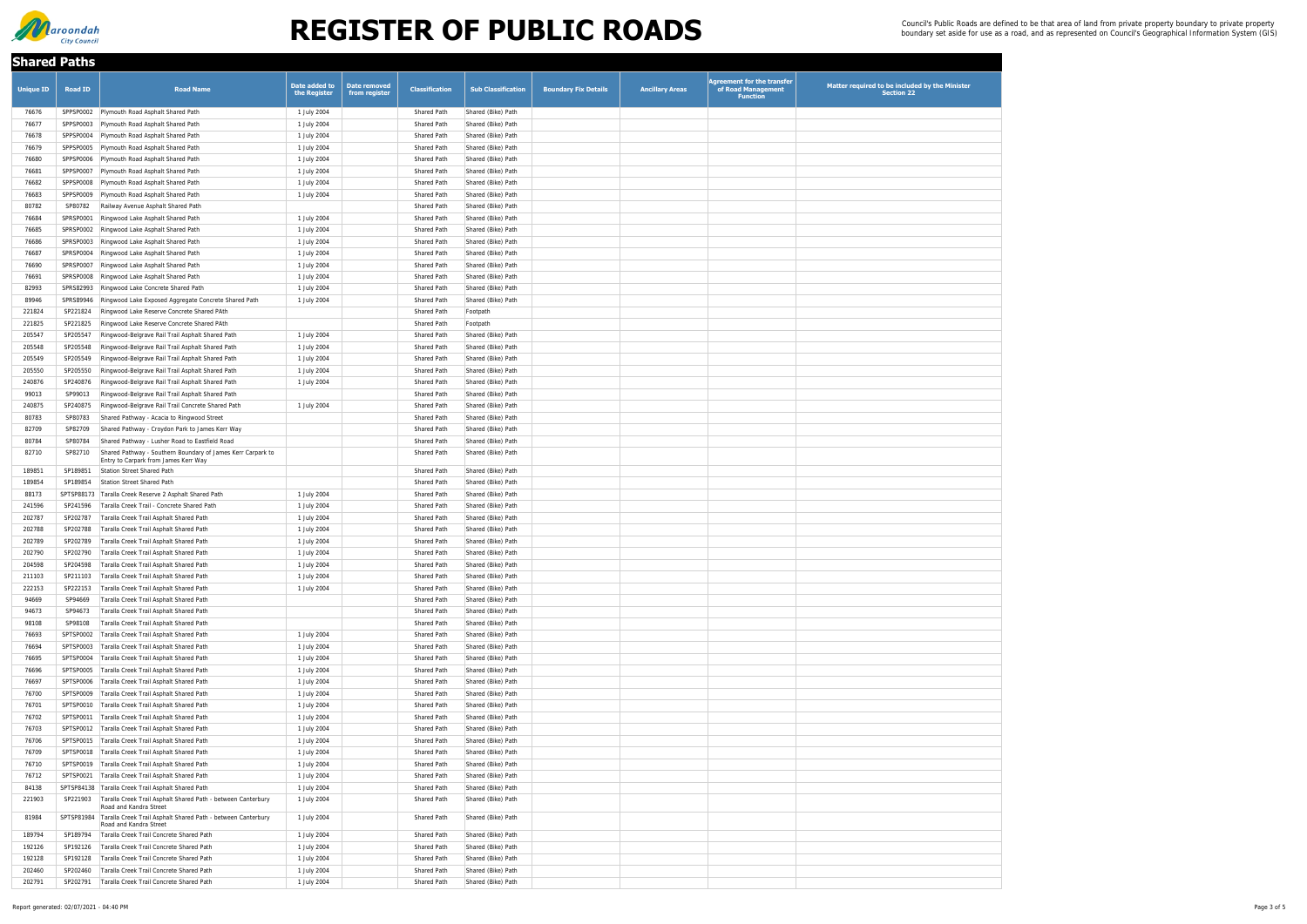| <b>Shared Paths</b> |                      |                                                                                                            |                               |                                      |                                          |                                          |                             |                        |                                                                            |                                                                     |
|---------------------|----------------------|------------------------------------------------------------------------------------------------------------|-------------------------------|--------------------------------------|------------------------------------------|------------------------------------------|-----------------------------|------------------------|----------------------------------------------------------------------------|---------------------------------------------------------------------|
| <b>Unique ID</b>    | Road ID              | <b>Road Name</b>                                                                                           | Date added to<br>the Register | <b>Date removed</b><br>from register | <b>Classification</b>                    | <b>Sub Classification</b>                | <b>Boundary Fix Details</b> | <b>Ancillary Areas</b> | <b>Agreement for the transfer</b><br>of Road Management<br><b>Function</b> | Matter required to be included by the Minister<br><b>Section 22</b> |
| 76676               |                      | SPPSP0002 Plymouth Road Asphalt Shared Path                                                                | 1 July 2004                   |                                      | <b>Shared Path</b>                       | Shared (Bike) Path                       |                             |                        |                                                                            |                                                                     |
| 76677               |                      | SPPSP0003 Plymouth Road Asphalt Shared Path                                                                | 1 July 2004                   |                                      | <b>Shared Path</b>                       | Shared (Bike) Path                       |                             |                        |                                                                            |                                                                     |
| 76678               |                      | SPPSP0004 Plymouth Road Asphalt Shared Path                                                                | 1 July 2004                   |                                      | Shared Path                              | Shared (Bike) Path                       |                             |                        |                                                                            |                                                                     |
| 76679               | SPPSP0005            | Plymouth Road Asphalt Shared Path                                                                          | 1 July 2004                   |                                      | <b>Shared Path</b>                       | Shared (Bike) Path                       |                             |                        |                                                                            |                                                                     |
| 76680               |                      | SPPSP0006 Plymouth Road Asphalt Shared Path                                                                | 1 July 2004                   |                                      | <b>Shared Path</b>                       | Shared (Bike) Path                       |                             |                        |                                                                            |                                                                     |
| 76681               | SPPSP0007            | Plymouth Road Asphalt Shared Path                                                                          | 1 July 2004                   |                                      | <b>Shared Path</b>                       | Shared (Bike) Path                       |                             |                        |                                                                            |                                                                     |
| 76682               |                      | SPPSP0008 Plymouth Road Asphalt Shared Path                                                                | 1 July 2004                   |                                      | <b>Shared Path</b>                       | Shared (Bike) Path                       |                             |                        |                                                                            |                                                                     |
| 76683<br>80782      | SPPSP0009<br>SP80782 | Plymouth Road Asphalt Shared Path<br>Railway Avenue Asphalt Shared Path                                    | 1 July 2004                   |                                      | <b>Shared Path</b><br><b>Shared Path</b> | Shared (Bike) Path<br>Shared (Bike) Path |                             |                        |                                                                            |                                                                     |
| 76684               | SPRSP0001            | Ringwood Lake Asphalt Shared Path                                                                          | 1 July 2004                   |                                      | <b>Shared Path</b>                       | Shared (Bike) Path                       |                             |                        |                                                                            |                                                                     |
| 76685               |                      | SPRSP0002 Ringwood Lake Asphalt Shared Path                                                                | 1 July 2004                   |                                      | <b>Shared Path</b>                       | Shared (Bike) Path                       |                             |                        |                                                                            |                                                                     |
| 76686               | SPRSP0003            | Ringwood Lake Asphalt Shared Path                                                                          | 1 July 2004                   |                                      | <b>Shared Path</b>                       | Shared (Bike) Path                       |                             |                        |                                                                            |                                                                     |
| 76687               | SPRSP0004            | Ringwood Lake Asphalt Shared Path                                                                          | 1 July 2004                   |                                      | <b>Shared Path</b>                       | Shared (Bike) Path                       |                             |                        |                                                                            |                                                                     |
| 76690               | SPRSP0007            | Ringwood Lake Asphalt Shared Path                                                                          | 1 July 2004                   |                                      | <b>Shared Path</b>                       | Shared (Bike) Path                       |                             |                        |                                                                            |                                                                     |
| 76691               |                      | SPRSP0008 Ringwood Lake Asphalt Shared Path                                                                | 1 July 2004                   |                                      | <b>Shared Path</b>                       | Shared (Bike) Path                       |                             |                        |                                                                            |                                                                     |
| 82993               | SPRS82993            | Ringwood Lake Concrete Shared Path                                                                         | 1 July 2004                   |                                      | <b>Shared Path</b>                       | Shared (Bike) Path                       |                             |                        |                                                                            |                                                                     |
| 89946               | SPRS89946            | Ringwood Lake Exposed Aggregate Concrete Shared Path                                                       | 1 July 2004                   |                                      | <b>Shared Path</b>                       | Shared (Bike) Path                       |                             |                        |                                                                            |                                                                     |
| 221824              | SP221824             | Ringwood Lake Reserve Concrete Shared PAth                                                                 |                               |                                      | Shared Path                              | Footpath                                 |                             |                        |                                                                            |                                                                     |
| 221825              | SP221825             | Ringwood Lake Reserve Concrete Shared PAth                                                                 |                               |                                      | <b>Shared Path</b>                       | Footpath                                 |                             |                        |                                                                            |                                                                     |
| 205547              | SP205547             | Ringwood-Belgrave Rail Trail Asphalt Shared Path                                                           | 1 July 2004                   |                                      | <b>Shared Path</b>                       | Shared (Bike) Path                       |                             |                        |                                                                            |                                                                     |
| 205548<br>205549    | SP205548<br>SP205549 | Ringwood-Belgrave Rail Trail Asphalt Shared Path<br>Ringwood-Belgrave Rail Trail Asphalt Shared Path       | 1 July 2004<br>1 July 2004    |                                      | <b>Shared Path</b><br><b>Shared Path</b> | Shared (Bike) Path<br>Shared (Bike) Path |                             |                        |                                                                            |                                                                     |
| 205550              | SP205550             | Ringwood-Belgrave Rail Trail Asphalt Shared Path                                                           | 1 July 2004                   |                                      | <b>Shared Path</b>                       | Shared (Bike) Path                       |                             |                        |                                                                            |                                                                     |
| 240876              | SP240876             | Ringwood-Belgrave Rail Trail Asphalt Shared Path                                                           | 1 July 2004                   |                                      | <b>Shared Path</b>                       | Shared (Bike) Path                       |                             |                        |                                                                            |                                                                     |
| 99013               | SP99013              | Ringwood-Belgrave Rail Trail Asphalt Shared Path                                                           |                               |                                      | Shared Path                              | Shared (Bike) Path                       |                             |                        |                                                                            |                                                                     |
| 240875              |                      | SP240875 Ringwood-Belgrave Rail Trail Concrete Shared Path                                                 | 1 July 2004                   |                                      | Shared Path                              | Shared (Bike) Path                       |                             |                        |                                                                            |                                                                     |
| 80783               | SP80783              | Shared Pathway - Acacia to Ringwood Street                                                                 |                               |                                      | <b>Shared Path</b>                       | Shared (Bike) Path                       |                             |                        |                                                                            |                                                                     |
| 82709               | SP82709              | Shared Pathway - Croydon Park to James Kerr Way                                                            |                               |                                      | Shared Path                              | Shared (Bike) Path                       |                             |                        |                                                                            |                                                                     |
| 80784               | SP80784              | Shared Pathway - Lusher Road to Eastfield Road                                                             |                               |                                      | Shared Path                              | Shared (Bike) Path                       |                             |                        |                                                                            |                                                                     |
| 82710               | SP82710              | Shared Pathway - Southern Boundary of James Kerr Carpark to<br>Entry to Carpark from James Kerr Way        |                               |                                      | Shared Path                              | Shared (Bike) Path                       |                             |                        |                                                                            |                                                                     |
| 189851              | SP189851             | Station Street Shared Path                                                                                 |                               |                                      | Shared Path                              | Shared (Bike) Path                       |                             |                        |                                                                            |                                                                     |
| 189854              | SP189854             | Station Street Shared Path                                                                                 |                               |                                      | Shared Path                              | Shared (Bike) Path                       |                             |                        |                                                                            |                                                                     |
| 88173               |                      | SPTSP88173   Taralla Creek Reserve 2 Asphalt Shared Path                                                   | 1 July 2004                   |                                      | Shared Path                              | Shared (Bike) Path                       |                             |                        |                                                                            |                                                                     |
| 241596              | SP241596             | Taralla Creek Trail - Concrete Shared Path                                                                 | 1 July 2004                   |                                      | Shared Path                              | Shared (Bike) Path                       |                             |                        |                                                                            |                                                                     |
| 202787              | SP202787             | Taralla Creek Trail Asphalt Shared Path                                                                    | 1 July 2004                   |                                      | Shared Path                              | Shared (Bike) Path                       |                             |                        |                                                                            |                                                                     |
| 202788              | SP202788             | Taralla Creek Trail Asphalt Shared Path                                                                    | 1 July 2004                   |                                      | Shared Path                              | Shared (Bike) Path                       |                             |                        |                                                                            |                                                                     |
| 202789              | SP202789             | Taralla Creek Trail Asphalt Shared Path                                                                    | 1 July 2004                   |                                      | Shared Path                              | Shared (Bike) Path                       |                             |                        |                                                                            |                                                                     |
| 202790              | SP202790             | Taralla Creek Trail Asphalt Shared Path                                                                    | 1 July 2004                   |                                      | <b>Shared Path</b>                       | Shared (Bike) Path                       |                             |                        |                                                                            |                                                                     |
| 204598              | SP204598             | Taralla Creek Trail Asphalt Shared Path                                                                    | 1 July 2004                   |                                      | <b>Shared Path</b>                       | Shared (Bike) Path                       |                             |                        |                                                                            |                                                                     |
| 211103              | SP211103             | Taralla Creek Trail Asphalt Shared Path                                                                    | 1 July 2004                   |                                      | <b>Shared Path</b>                       | Shared (Bike) Path                       |                             |                        |                                                                            |                                                                     |
| 222153<br>94669     | SP222153<br>SP94669  | Taralla Creek Trail Asphalt Shared Path<br>Taralla Creek Trail Asphalt Shared Path                         | 1 July 2004                   |                                      | <b>Shared Path</b><br><b>Shared Path</b> | Shared (Bike) Path<br>Shared (Bike) Path |                             |                        |                                                                            |                                                                     |
| 94673               | SP94673              | Taralla Creek Trail Asphalt Shared Path                                                                    |                               |                                      | <b>Shared Path</b>                       | Shared (Bike) Path                       |                             |                        |                                                                            |                                                                     |
| 98108               | SP98108              | Taralla Creek Trail Asphalt Shared Path                                                                    |                               |                                      | Shared Path                              | Shared (Bike) Path                       |                             |                        |                                                                            |                                                                     |
| 76693               |                      | SPTSP0002   Taralla Creek Trail Asphalt Shared Path                                                        | 1 July 2004                   |                                      | Shared Path                              | Shared (Bike) Path                       |                             |                        |                                                                            |                                                                     |
| 76694               |                      | SPTSP0003   Taralla Creek Trail Asphalt Shared Path                                                        | 1 July 2004                   |                                      | <b>Shared Path</b>                       | Shared (Bike) Path                       |                             |                        |                                                                            |                                                                     |
| 76695               |                      | SPTSP0004   Taralla Creek Trail Asphalt Shared Path                                                        | 1 July 2004                   |                                      | <b>Shared Path</b>                       | Shared (Bike) Path                       |                             |                        |                                                                            |                                                                     |
| 76696               |                      | SPTSP0005   Taralla Creek Trail Asphalt Shared Path                                                        | 1 July 2004                   |                                      | Shared Path                              | Shared (Bike) Path                       |                             |                        |                                                                            |                                                                     |
| 76697               |                      | SPTSP0006   Taralla Creek Trail Asphalt Shared Path                                                        | 1 July 2004                   |                                      | Shared Path                              | Shared (Bike) Path                       |                             |                        |                                                                            |                                                                     |
| 76700               |                      | SPTSP0009   Taralla Creek Trail Asphalt Shared Path                                                        | 1 July 2004                   |                                      | <b>Shared Path</b>                       | Shared (Bike) Path                       |                             |                        |                                                                            |                                                                     |
| 76701               |                      | SPTSP0010   Taralla Creek Trail Asphalt Shared Path                                                        | 1 July 2004                   |                                      | <b>Shared Path</b>                       | Shared (Bike) Path                       |                             |                        |                                                                            |                                                                     |
| 76702               |                      | SPTSP0011   Taralla Creek Trail Asphalt Shared Path                                                        | 1 July 2004                   |                                      | <b>Shared Path</b>                       | Shared (Bike) Path                       |                             |                        |                                                                            |                                                                     |
| 76703               |                      | SPTSP0012   Taralla Creek Trail Asphalt Shared Path                                                        | 1 July 2004                   |                                      | <b>Shared Path</b>                       | Shared (Bike) Path                       |                             |                        |                                                                            |                                                                     |
| 76706<br>76709      |                      | SPTSP0015   Taralla Creek Trail Asphalt Shared Path<br>SPTSP0018   Taralla Creek Trail Asphalt Shared Path | 1 July 2004<br>1 July 2004    |                                      | <b>Shared Path</b><br>Shared Path        | Shared (Bike) Path<br>Shared (Bike) Path |                             |                        |                                                                            |                                                                     |
| 76710               |                      | SPTSP0019   Taralla Creek Trail Asphalt Shared Path                                                        | 1 July 2004                   |                                      | Shared Path                              | Shared (Bike) Path                       |                             |                        |                                                                            |                                                                     |
| 76712               |                      | SPTSP0021   Taralla Creek Trail Asphalt Shared Path                                                        | 1 July 2004                   |                                      | Shared Path                              | Shared (Bike) Path                       |                             |                        |                                                                            |                                                                     |
| 84138               |                      | SPTSP84138 Taralla Creek Trail Asphalt Shared Path                                                         | 1 July 2004                   |                                      | Shared Path                              | Shared (Bike) Path                       |                             |                        |                                                                            |                                                                     |
| 221903              | SP221903             | Taralla Creek Trail Asphalt Shared Path - between Canterbury                                               | 1 July 2004                   |                                      | Shared Path                              | Shared (Bike) Path                       |                             |                        |                                                                            |                                                                     |
| 81984               |                      | Road and Kandra Street<br>SPTSP81984   Taralla Creek Trail Asphalt Shared Path - between Canterbury        | 1 July 2004                   |                                      | Shared Path                              | Shared (Bike) Path                       |                             |                        |                                                                            |                                                                     |
|                     |                      | Road and Kandra Street                                                                                     |                               |                                      |                                          |                                          |                             |                        |                                                                            |                                                                     |
| 189794<br>192126    | SP192126             | SP189794   Taralla Creek Trail Concrete Shared Path<br>Taralla Creek Trail Concrete Shared Path            | 1 July 2004<br>1 July 2004    |                                      | Shared Path<br>Shared Path               | Shared (Bike) Path<br>Shared (Bike) Path |                             |                        |                                                                            |                                                                     |
| 192128              | SP192128             | Taralla Creek Trail Concrete Shared Path                                                                   | 1 July 2004                   |                                      | Shared Path                              | Shared (Bike) Path                       |                             |                        |                                                                            |                                                                     |
| 202460              | SP202460             | Taralla Creek Trail Concrete Shared Path                                                                   | 1 July 2004                   |                                      | Shared Path                              | Shared (Bike) Path                       |                             |                        |                                                                            |                                                                     |
| 202791              |                      | SP202791   Taralla Creek Trail Concrete Shared Path                                                        | 1 July 2004                   |                                      | Shared Path                              | Shared (Bike) Path                       |                             |                        |                                                                            |                                                                     |
|                     |                      |                                                                                                            |                               |                                      |                                          |                                          |                             |                        |                                                                            |                                                                     |

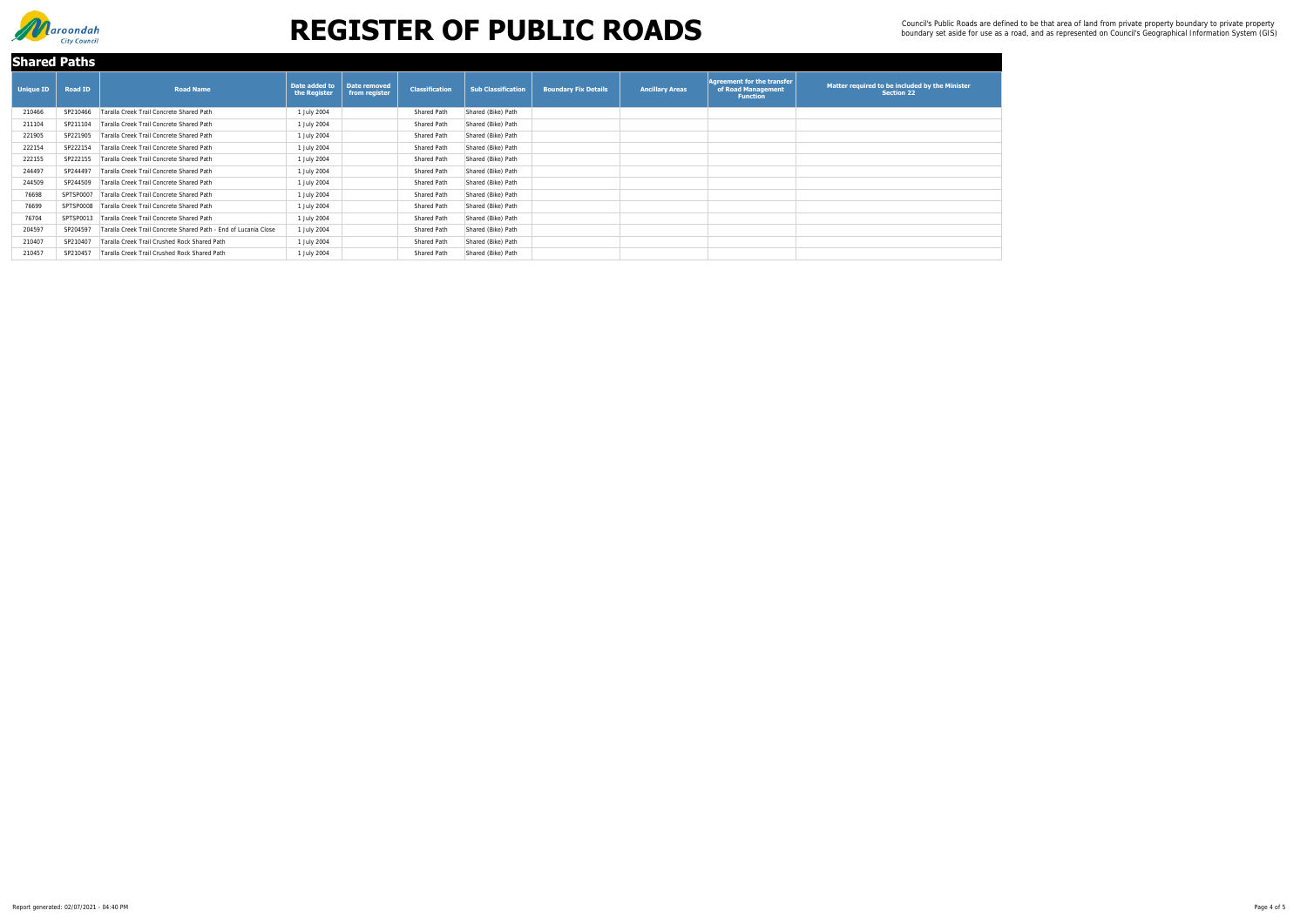| <b>Shared Paths</b> |                |                                                                 |                               |                               |                       |                           |                             |                        |                                                                            |                                                                     |
|---------------------|----------------|-----------------------------------------------------------------|-------------------------------|-------------------------------|-----------------------|---------------------------|-----------------------------|------------------------|----------------------------------------------------------------------------|---------------------------------------------------------------------|
| <b>Unique ID</b>    | <b>Road ID</b> | <b>Road Name</b>                                                | Date added to<br>the Register | Date removed<br>from register | <b>Classification</b> | <b>Sub Classification</b> | <b>Boundary Fix Details</b> | <b>Ancillary Areas</b> | Agreement for the transfer $\mid$<br>of Road Management<br><b>Function</b> | Matter required to be included by the Minister<br><b>Section 22</b> |
| 210466              | SP210466       | Taralla Creek Trail Concrete Shared Path                        | 1 July 2004                   |                               | Shared Path           | Shared (Bike) Path        |                             |                        |                                                                            |                                                                     |
| 211104              | SP211104       | Taralla Creek Trail Concrete Shared Path                        | 1 July 2004                   |                               | Shared Path           | Shared (Bike) Path        |                             |                        |                                                                            |                                                                     |
| 221905              | SP221905       | Taralla Creek Trail Concrete Shared Path                        | 1 July 2004                   |                               | Shared Path           | Shared (Bike) Path        |                             |                        |                                                                            |                                                                     |
| 222154              | SP222154       | Taralla Creek Trail Concrete Shared Path                        | 1 July 2004                   |                               | Shared Path           | Shared (Bike) Path        |                             |                        |                                                                            |                                                                     |
| 222155              | SP222155       | Taralla Creek Trail Concrete Shared Path                        | 1 July 2004                   |                               | Shared Path           | Shared (Bike) Path        |                             |                        |                                                                            |                                                                     |
| 244497              | SP244497       | Taralla Creek Trail Concrete Shared Path                        | 1 July 2004                   |                               | Shared Path           | Shared (Bike) Path        |                             |                        |                                                                            |                                                                     |
| 244509              | SP244509       | Taralla Creek Trail Concrete Shared Path                        | 1 July 2004                   |                               | Shared Path           | Shared (Bike) Path        |                             |                        |                                                                            |                                                                     |
| 76698               | SPTSP0007      | Taralla Creek Trail Concrete Shared Path                        | 1 July 2004                   |                               | Shared Path           | Shared (Bike) Path        |                             |                        |                                                                            |                                                                     |
| 76699               | SPTSP0008      | Taralla Creek Trail Concrete Shared Path                        | 1 July 2004                   |                               | Shared Path           | Shared (Bike) Path        |                             |                        |                                                                            |                                                                     |
| 76704               | SPTSP0013      | Taralla Creek Trail Concrete Shared Path                        | 1 July 2004                   |                               | Shared Path           | Shared (Bike) Path        |                             |                        |                                                                            |                                                                     |
| 204597              | SP204597       | Taralla Creek Trail Concrete Shared Path - End of Lucania Close | 1 July 2004                   |                               | Shared Path           | Shared (Bike) Path        |                             |                        |                                                                            |                                                                     |
| 210407              | SP210407       | Taralla Creek Trail Crushed Rock Shared Path                    | 1 July 2004                   |                               | Shared Path           | Shared (Bike) Path        |                             |                        |                                                                            |                                                                     |
| 210457              | SP210457       | Taralla Creek Trail Crushed Rock Shared Path                    | 1 July 2004                   |                               | Shared Path           | Shared (Bike) Path        |                             |                        |                                                                            |                                                                     |